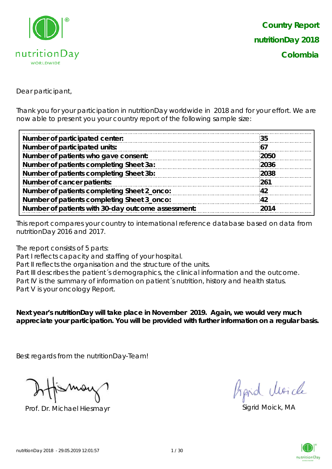

Dear participant,

Thank you for your participation in nutritionDay worldwide in 2018 and for your effort. We are now able to present you your country report of the following sample size:

| Number of participated center:                     | 35   |
|----------------------------------------------------|------|
| Number of participated units:                      | 67   |
| Number of patients who gave consent:               | 2050 |
| Number of patients completing Sheet 3a:            | 2036 |
| Number of patients completing Sheet 3b:            | 2038 |
| Number of cancer patients:                         | 261  |
| Number of patients completing Sheet 2_onco:        | 42   |
| Number of patients completing Sheet 3_onco:        | 42   |
| Number of patients with 30-day outcome assessment: | 2014 |
|                                                    |      |

This report compares your country to international reference database based on data from nutritionDay 2016 and 2017.

The report consists of 5 parts:

Part I reflects capacity and staffing of your hospital.

Part II reflects the organisation and the structure of the units.

Part III describes the patient's demographics, the clinical information and the outcome. Part IV is the summary of information on patient's nutrition, history and health status. Part V is your oncology Report.

**Next year's nutritionDay will take place in November 2019. Again, we would very much appreciate your participation. You will be provided with further information on a regular basis.**

Best regards from the nutritionDay-Team!

Prof. Dr. Michael Hiesmayr Sigrid Moick, MA

fraid Moich

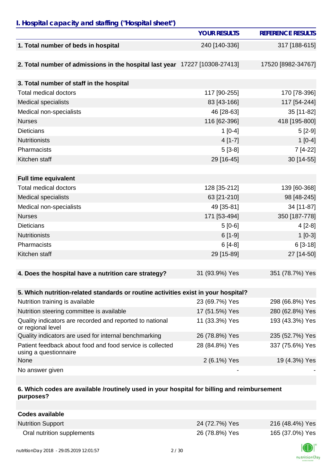## *I. Hospital capacity and staffing ("Hospital sheet")*

|                                                                                    | <b>YOUR RESULTS</b> | <b>REFERENCE RESULTS</b> |
|------------------------------------------------------------------------------------|---------------------|--------------------------|
| 1. Total number of beds in hospital                                                | 240 [140-336]       | 317 [188-615]            |
|                                                                                    |                     |                          |
| 2. Total number of admissions in the hospital last year 17227 [10308-27413]        |                     | 17520 [8982-34767]       |
|                                                                                    |                     |                          |
| 3. Total number of staff in the hospital                                           |                     |                          |
| <b>Total medical doctors</b>                                                       | 117 [90-255]        | 170 [78-396]             |
| Medical specialists                                                                | 83 [43-166]         | 117 [54-244]             |
| Medical non-specialists                                                            | 46 [28-63]          | 35 [11-82]               |
| <b>Nurses</b>                                                                      | 116 [62-396]        | 418 [195-800]            |
| <b>Dieticians</b>                                                                  | $1 [0-4]$           | $5[2-9]$                 |
| <b>Nutritionists</b>                                                               | $4[1-7]$            | $1[0-4]$                 |
| Pharmacists                                                                        | $5[3-8]$            | 7 [4-22]                 |
| Kitchen staff                                                                      | 29 [16-45]          | 30 [14-55]               |
|                                                                                    |                     |                          |
| <b>Full time equivalent</b>                                                        |                     |                          |
| <b>Total medical doctors</b>                                                       | 128 [35-212]        | 139 [60-368]             |
| <b>Medical specialists</b>                                                         | 63 [21-210]         | 98 [48-245]              |
| Medical non-specialists                                                            | 49 [35-81]          | 34 [11-87]               |
| <b>Nurses</b>                                                                      | 171 [53-494]        | 350 [187-778]            |
| <b>Dieticians</b>                                                                  | $5[0-6]$            | $4[2-8]$                 |
| <b>Nutritionists</b>                                                               | $6[1-9]$            | $1[0-3]$                 |
| Pharmacists                                                                        | $6[4-8]$            | $6[3-18]$                |
| Kitchen staff                                                                      | 29 [15-89]          | 27 [14-50]               |
|                                                                                    |                     |                          |
| 4. Does the hospital have a nutrition care strategy?                               | 31 (93.9%) Yes      | 351 (78.7%) Yes          |
|                                                                                    |                     |                          |
| 5. Which nutrition-related standards or routine activities exist in your hospital? |                     |                          |
| Nutrition training is available                                                    | 23 (69.7%) Yes      | 298 (66.8%) Yes          |
| Nutrition steering committee is available                                          | 17 (51.5%) Yes      | 280 (62.8%) Yes          |
| Quality indicators are recorded and reported to national<br>or regional level      | 11 (33.3%) Yes      | 193 (43.3%) Yes          |
| Quality indicators are used for internal benchmarking                              | 26 (78.8%) Yes      | 235 (52.7%) Yes          |
| Patient feedback about food and food service is collected<br>using a questionnaire | 28 (84.8%) Yes      | 337 (75.6%) Yes          |
| None                                                                               | 2 (6.1%) Yes        | 19 (4.3%) Yes            |
| No answer given                                                                    |                     |                          |

### **6. Which codes are available /routinely used in your hospital for billing and reimbursement purposes?**

| <b>Codes available</b>     |                |                 |
|----------------------------|----------------|-----------------|
| <b>Nutrition Support</b>   | 24 (72.7%) Yes | 216 (48.4%) Yes |
| Oral nutrition supplements | 26 (78.8%) Yes | 165 (37.0%) Yes |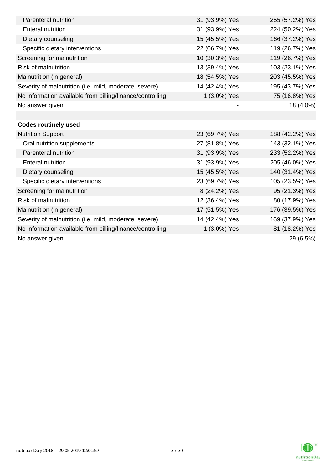| Parenteral nutrition                                      | 31 (93.9%) Yes | 255 (57.2%) Yes |
|-----------------------------------------------------------|----------------|-----------------|
| <b>Enteral nutrition</b>                                  | 31 (93.9%) Yes | 224 (50.2%) Yes |
| Dietary counseling                                        | 15 (45.5%) Yes | 166 (37.2%) Yes |
| Specific dietary interventions                            | 22 (66.7%) Yes | 119 (26.7%) Yes |
| Screening for malnutrition                                | 10 (30.3%) Yes | 119 (26.7%) Yes |
| <b>Risk of malnutrition</b>                               | 13 (39.4%) Yes | 103 (23.1%) Yes |
| Malnutrition (in general)                                 | 18 (54.5%) Yes | 203 (45.5%) Yes |
| Severity of malnutrition (i.e. mild, moderate, severe)    | 14 (42.4%) Yes | 195 (43.7%) Yes |
| No information available from billing/finance/controlling | 1 (3.0%) Yes   | 75 (16.8%) Yes  |
| No answer given                                           |                | 18 (4.0%)       |
|                                                           |                |                 |
| <b>Codes routinely used</b>                               |                |                 |
| <b>Nutrition Support</b>                                  | 23 (69.7%) Yes | 188 (42.2%) Yes |
| Oral nutrition supplements                                | 27 (81.8%) Yes | 143 (32.1%) Yes |
| Parenteral nutrition                                      | 31 (93.9%) Yes | 233 (52.2%) Yes |
| <b>Enteral nutrition</b>                                  | 31 (93.9%) Yes | 205 (46.0%) Yes |
| Dietary counseling                                        | 15 (45.5%) Yes | 140 (31.4%) Yes |
| Specific dietary interventions                            | 23 (69.7%) Yes | 105 (23.5%) Yes |
| Screening for malnutrition                                | 8 (24.2%) Yes  | 95 (21.3%) Yes  |
| <b>Risk of malnutrition</b>                               | 12 (36.4%) Yes | 80 (17.9%) Yes  |
| Malnutrition (in general)                                 | 17 (51.5%) Yes | 176 (39.5%) Yes |
| Severity of malnutrition (i.e. mild, moderate, severe)    | 14 (42.4%) Yes | 169 (37.9%) Yes |
| No information available from billing/finance/controlling | 1 (3.0%) Yes   | 81 (18.2%) Yes  |
| No answer given                                           |                | 29 (6.5%)       |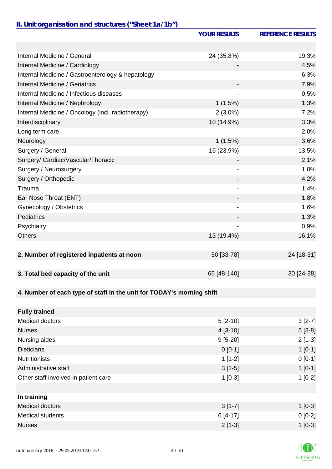# *II. Unit organisation and structures ("Sheet 1a/1b")*

|                                                                       | <b>YOUR RESULTS</b>          | <b>REFERENCE RESULTS</b> |
|-----------------------------------------------------------------------|------------------------------|--------------------------|
|                                                                       |                              |                          |
| Internal Medicine / General                                           | 24 (35.8%)                   | 19.3%                    |
| Internal Medicine / Cardiology                                        |                              | 4.5%                     |
| Internal Medicine / Gastroenterology & hepatology                     |                              | 6.3%                     |
| Internal Medicine / Geriatrics                                        |                              | 7.9%                     |
| Internal Medicine / Infectious diseases                               |                              | 0.5%                     |
| Internal Medicine / Nephrology                                        | 1(1.5%)                      | 1.3%                     |
| Internal Medicine / Oncology (incl. radiotherapy)                     | $2(3.0\%)$                   | 7.2%                     |
| Interdisciplinary                                                     | 10 (14.9%)                   | 3.3%                     |
| Long term care                                                        |                              | 2.0%                     |
| Neurology                                                             | 1(1.5%)                      | 3.6%                     |
| Surgery / General                                                     | 16 (23.9%)                   | 13.5%                    |
| Surgery/ Cardiac/Vascular/Thoracic                                    |                              | 2.1%                     |
| Surgery / Neurosurgery                                                |                              | 1.0%                     |
| Surgery / Orthopedic                                                  |                              | 4.2%                     |
| Trauma                                                                |                              | 1.4%                     |
| Ear Nose Throat (ENT)                                                 |                              | 1.8%                     |
| Gynecology / Obstetrics                                               | $\qquad \qquad \blacksquare$ | 1.6%                     |
| Pediatrics                                                            |                              | 1.3%                     |
| Psychiatry                                                            |                              | 0.9%                     |
| <b>Others</b>                                                         | 13 (19.4%)                   | 16.1%                    |
|                                                                       |                              |                          |
| 2. Number of registered inpatients at noon                            | 50 [33-78]                   | 24 [18-31]               |
|                                                                       |                              |                          |
| 3. Total bed capacity of the unit                                     | 65 [48-140]                  | 30 [24-38]               |
|                                                                       |                              |                          |
| 4. Number of each type of staff in the unit for TODAY's morning shift |                              |                          |
|                                                                       |                              |                          |
| <b>Fully trained</b>                                                  |                              |                          |
| <b>Medical doctors</b>                                                | $5[2-10]$                    | $3[2-7]$                 |
| <b>Nurses</b>                                                         | $4[3-10]$                    | $5[3-8]$                 |
| Nursing aides                                                         | $9[5-20]$                    | $2[1-3]$                 |
| <b>Dieticians</b>                                                     | $0[0-1]$                     | $1[0-1]$                 |
| <b>Nutritionists</b>                                                  | $1[1-2]$                     | $0 [0-1]$                |
| Administrative staff                                                  | $3[2-5]$                     | $1[0-1]$                 |
| Other staff involved in patient care                                  | $1[0-3]$                     | $1[0-2]$                 |
|                                                                       |                              |                          |
| In training                                                           |                              |                          |
| <b>Medical doctors</b>                                                | $3[1-7]$                     | $1[0-3]$                 |
| <b>Medical students</b>                                               | $6[4-17]$                    | $0[0-2]$                 |
| <b>Nurses</b>                                                         | $2[1-3]$                     | $1[0-3]$                 |

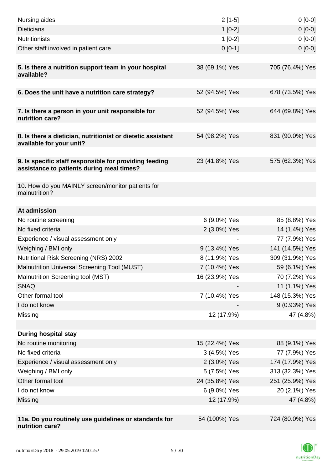| Nursing aides                                                                                       | $2[1-5]$       | $0[0-0]$        |
|-----------------------------------------------------------------------------------------------------|----------------|-----------------|
| <b>Dieticians</b>                                                                                   | $1[0-2]$       | $0[0-0]$        |
| <b>Nutritionists</b>                                                                                | $1[0-2]$       | $0[0-0]$        |
| Other staff involved in patient care                                                                | $0[0-1]$       | $0 [0-0]$       |
|                                                                                                     |                |                 |
| 5. Is there a nutrition support team in your hospital<br>available?                                 | 38 (69.1%) Yes | 705 (76.4%) Yes |
| 6. Does the unit have a nutrition care strategy?                                                    | 52 (94.5%) Yes | 678 (73.5%) Yes |
|                                                                                                     |                |                 |
| 7. Is there a person in your unit responsible for<br>nutrition care?                                | 52 (94.5%) Yes | 644 (69.8%) Yes |
| 8. Is there a dietician, nutritionist or dietetic assistant<br>available for your unit?             | 54 (98.2%) Yes | 831 (90.0%) Yes |
| 9. Is specific staff responsible for providing feeding<br>assistance to patients during meal times? | 23 (41.8%) Yes | 575 (62.3%) Yes |
| 10. How do you MAINLY screen/monitor patients for<br>malnutrition?                                  |                |                 |
| At admission                                                                                        |                |                 |
| No routine screening                                                                                | 6 (9.0%) Yes   | 85 (8.8%) Yes   |
| No fixed criteria                                                                                   | 2 (3.0%) Yes   | 14 (1.4%) Yes   |
| Experience / visual assessment only                                                                 |                | 77 (7.9%) Yes   |
| Weighing / BMI only                                                                                 | 9 (13.4%) Yes  | 141 (14.5%) Yes |
| <b>Nutritional Risk Screening (NRS) 2002</b>                                                        | 8 (11.9%) Yes  | 309 (31.9%) Yes |
| Malnutrition Universal Screening Tool (MUST)                                                        | 7 (10.4%) Yes  | 59 (6.1%) Yes   |
| Malnutrition Screening tool (MST)                                                                   | 16 (23.9%) Yes | 70 (7.2%) Yes   |
| <b>SNAQ</b>                                                                                         |                | 11 (1.1%) Yes   |
| Other formal tool                                                                                   | 7 (10.4%) Yes  | 148 (15.3%) Yes |
| I do not know                                                                                       |                | 9 (0.93%) Yes   |
| Missing                                                                                             | 12 (17.9%)     | 47 (4.8%)       |
|                                                                                                     |                |                 |
| <b>During hospital stay</b>                                                                         |                |                 |
| No routine monitoring                                                                               | 15 (22.4%) Yes | 88 (9.1%) Yes   |
| No fixed criteria                                                                                   | 3 (4.5%) Yes   | 77 (7.9%) Yes   |
| Experience / visual assessment only                                                                 | 2 (3.0%) Yes   | 174 (17.9%) Yes |
| Weighing / BMI only                                                                                 | 5 (7.5%) Yes   | 313 (32.3%) Yes |
| Other formal tool                                                                                   | 24 (35.8%) Yes | 251 (25.9%) Yes |
| I do not know                                                                                       | 6 (9.0%) Yes   | 20 (2.1%) Yes   |
| Missing                                                                                             | 12 (17.9%)     | 47 (4.8%)       |
|                                                                                                     |                |                 |
| 11a. Do you routinely use guidelines or standards for<br>nutrition care?                            | 54 (100%) Yes  | 724 (80.0%) Yes |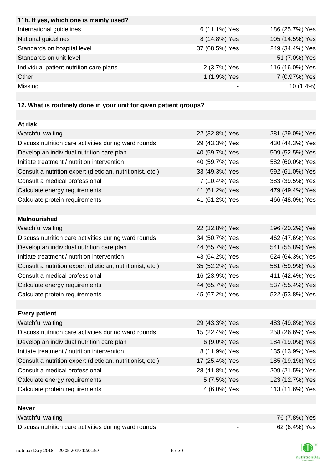| 11b. If yes, which one is mainly used?                            |                |                 |
|-------------------------------------------------------------------|----------------|-----------------|
| International guidelines                                          | 6 (11.1%) Yes  | 186 (25.7%) Yes |
| National guidelines                                               | 8 (14.8%) Yes  | 105 (14.5%) Yes |
| Standards on hospital level                                       | 37 (68.5%) Yes | 249 (34.4%) Yes |
| Standards on unit level                                           |                | 51 (7.0%) Yes   |
| Individual patient nutrition care plans                           | 2 (3.7%) Yes   | 116 (16.0%) Yes |
| Other                                                             | 1 (1.9%) Yes   | 7 (0.97%) Yes   |
| Missing                                                           |                | 10 (1.4%)       |
|                                                                   |                |                 |
| 12. What is routinely done in your unit for given patient groups? |                |                 |
|                                                                   |                |                 |
| At risk                                                           |                |                 |
| Watchful waiting                                                  | 22 (32.8%) Yes | 281 (29.0%) Yes |
| Discuss nutrition care activities during ward rounds              | 29 (43.3%) Yes | 430 (44.3%) Yes |
| Develop an individual nutrition care plan                         | 40 (59.7%) Yes | 509 (52.5%) Yes |
| Initiate treatment / nutrition intervention                       | 40 (59.7%) Yes | 582 (60.0%) Yes |
| Consult a nutrition expert (dietician, nutritionist, etc.)        | 33 (49.3%) Yes | 592 (61.0%) Yes |
| Consult a medical professional                                    | 7 (10.4%) Yes  | 383 (39.5%) Yes |
| Calculate energy requirements                                     | 41 (61.2%) Yes | 479 (49.4%) Yes |
| Calculate protein requirements                                    | 41 (61.2%) Yes | 466 (48.0%) Yes |
|                                                                   |                |                 |
| <b>Malnourished</b>                                               |                |                 |
| Watchful waiting                                                  | 22 (32.8%) Yes | 196 (20.2%) Yes |
| Discuss nutrition care activities during ward rounds              | 34 (50.7%) Yes | 462 (47.6%) Yes |
| Develop an individual nutrition care plan                         | 44 (65.7%) Yes | 541 (55.8%) Yes |
| Initiate treatment / nutrition intervention                       | 43 (64.2%) Yes | 624 (64.3%) Yes |
| Consult a nutrition expert (dietician, nutritionist, etc.)        | 35 (52.2%) Yes | 581 (59.9%) Yes |
| Consult a medical professional                                    | 16 (23.9%) Yes | 411 (42.4%) Yes |
| Calculate energy requirements                                     | 44 (65.7%) Yes | 537 (55.4%) Yes |
| Calculate protein requirements                                    | 45 (67.2%) Yes | 522 (53.8%) Yes |
|                                                                   |                |                 |
| <b>Every patient</b>                                              |                |                 |
| Watchful waiting                                                  | 29 (43.3%) Yes | 483 (49.8%) Yes |
| Discuss nutrition care activities during ward rounds              | 15 (22.4%) Yes | 258 (26.6%) Yes |
| Develop an individual nutrition care plan                         | 6 (9.0%) Yes   | 184 (19.0%) Yes |
| Initiate treatment / nutrition intervention                       | 8 (11.9%) Yes  | 135 (13.9%) Yes |
| Consult a nutrition expert (dietician, nutritionist, etc.)        | 17 (25.4%) Yes | 185 (19.1%) Yes |
| Consult a medical professional                                    | 28 (41.8%) Yes | 209 (21.5%) Yes |
| Calculate energy requirements                                     | 5 (7.5%) Yes   | 123 (12.7%) Yes |
| Calculate protein requirements                                    | 4 (6.0%) Yes   | 113 (11.6%) Yes |
|                                                                   |                |                 |
| <b>Never</b>                                                      |                |                 |
| Watchful waiting                                                  |                | 76 (7.8%) Yes   |
| Discuss nutrition care activities during ward rounds              |                | 62 (6.4%) Yes   |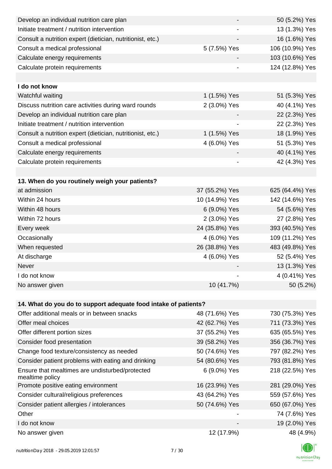| Develop an individual nutrition care plan                          |                | 50 (5.2%) Yes   |
|--------------------------------------------------------------------|----------------|-----------------|
| Initiate treatment / nutrition intervention                        |                | 13 (1.3%) Yes   |
| Consult a nutrition expert (dietician, nutritionist, etc.)         |                | 16 (1.6%) Yes   |
| Consult a medical professional                                     | 5 (7.5%) Yes   | 106 (10.9%) Yes |
| Calculate energy requirements                                      |                | 103 (10.6%) Yes |
| Calculate protein requirements                                     |                | 124 (12.8%) Yes |
|                                                                    |                |                 |
| I do not know                                                      |                |                 |
| Watchful waiting                                                   | 1 (1.5%) Yes   | 51 (5.3%) Yes   |
| Discuss nutrition care activities during ward rounds               | 2 (3.0%) Yes   | 40 (4.1%) Yes   |
| Develop an individual nutrition care plan                          |                | 22 (2.3%) Yes   |
| Initiate treatment / nutrition intervention                        |                | 22 (2.3%) Yes   |
| Consult a nutrition expert (dietician, nutritionist, etc.)         | 1 (1.5%) Yes   | 18 (1.9%) Yes   |
| Consult a medical professional                                     | 4 (6.0%) Yes   | 51 (5.3%) Yes   |
| Calculate energy requirements                                      |                | 40 (4.1%) Yes   |
| Calculate protein requirements                                     | -              | 42 (4.3%) Yes   |
|                                                                    |                |                 |
| 13. When do you routinely weigh your patients?                     |                |                 |
| at admission                                                       | 37 (55.2%) Yes | 625 (64.4%) Yes |
| Within 24 hours                                                    | 10 (14.9%) Yes | 142 (14.6%) Yes |
| Within 48 hours                                                    | 6 (9.0%) Yes   | 54 (5.6%) Yes   |
| Within 72 hours                                                    | 2 (3.0%) Yes   | 27 (2.8%) Yes   |
| Every week                                                         | 24 (35.8%) Yes | 393 (40.5%) Yes |
| Occasionally                                                       | 4 (6.0%) Yes   | 109 (11.2%) Yes |
| When requested                                                     | 26 (38.8%) Yes | 483 (49.8%) Yes |
| At discharge                                                       | 4 (6.0%) Yes   | 52 (5.4%) Yes   |
| Never                                                              |                | 13 (1.3%) Yes   |
| I do not know                                                      |                | 4 (0.41%) Yes   |
| No answer given                                                    | 10 (41.7%)     | 50 (5.2%)       |
|                                                                    |                |                 |
| 14. What do you do to support adequate food intake of patients?    |                |                 |
| Offer additional meals or in between snacks                        | 48 (71.6%) Yes | 730 (75.3%) Yes |
| Offer meal choices                                                 | 42 (62.7%) Yes | 711 (73.3%) Yes |
| Offer different portion sizes                                      | 37 (55.2%) Yes | 635 (65.5%) Yes |
| Consider food presentation                                         | 39 (58.2%) Yes | 356 (36.7%) Yes |
| Change food texture/consistency as needed                          | 50 (74.6%) Yes | 797 (82.2%) Yes |
| Consider patient problems with eating and drinking                 | 54 (80.6%) Yes | 793 (81.8%) Yes |
| Ensure that mealtimes are undisturbed/protected<br>mealtime policy | 6 (9.0%) Yes   | 218 (22.5%) Yes |
| Promote positive eating environment                                | 16 (23.9%) Yes | 281 (29.0%) Yes |
| Consider cultural/religious preferences                            | 43 (64.2%) Yes | 559 (57.6%) Yes |
| Consider patient allergies / intolerances                          | 50 (74.6%) Yes | 650 (67.0%) Yes |
| Other                                                              |                | 74 (7.6%) Yes   |
| I do not know                                                      |                | 19 (2.0%) Yes   |
| No answer given                                                    | 12 (17.9%)     | 48 (4.9%)       |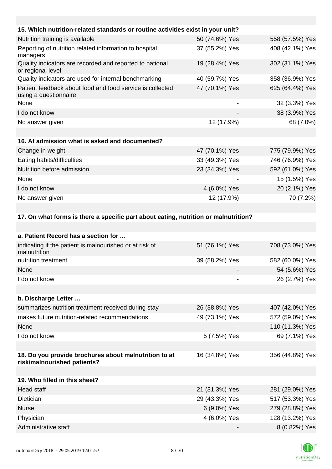| 15. Which nutrition-related standards or routine activities exist in your unit?      |                |                 |
|--------------------------------------------------------------------------------------|----------------|-----------------|
| Nutrition training is available                                                      | 50 (74.6%) Yes | 558 (57.5%) Yes |
| Reporting of nutrition related information to hospital<br>managers                   | 37 (55.2%) Yes | 408 (42.1%) Yes |
| Quality indicators are recorded and reported to national<br>or regional level        | 19 (28.4%) Yes | 302 (31.1%) Yes |
| Quality indicators are used for internal benchmarking                                | 40 (59.7%) Yes | 358 (36.9%) Yes |
| Patient feedback about food and food service is collected<br>using a questionnaire   | 47 (70.1%) Yes | 625 (64.4%) Yes |
| None                                                                                 |                | 32 (3.3%) Yes   |
| I do not know                                                                        |                | 38 (3.9%) Yes   |
| No answer given                                                                      | 12 (17.9%)     | 68 (7.0%)       |
| 16. At admission what is asked and documented?                                       |                |                 |
| Change in weight                                                                     | 47 (70.1%) Yes | 775 (79.9%) Yes |
| Eating habits/difficulties                                                           | 33 (49.3%) Yes | 746 (76.9%) Yes |
| Nutrition before admission                                                           | 23 (34.3%) Yes | 592 (61.0%) Yes |
| None                                                                                 |                | 15 (1.5%) Yes   |
| I do not know                                                                        | 4 (6.0%) Yes   | 20 (2.1%) Yes   |
| No answer given                                                                      | 12 (17.9%)     | 70 (7.2%)       |
|                                                                                      |                |                 |
| 17. On what forms is there a specific part about eating, nutrition or malnutrition?  |                |                 |
|                                                                                      |                |                 |
| a. Patient Record has a section for                                                  |                |                 |
| indicating if the patient is malnourished or at risk of<br>malnutrition              | 51 (76.1%) Yes | 708 (73.0%) Yes |
| nutrition treatment                                                                  | 39 (58.2%) Yes | 582 (60.0%) Yes |
| None                                                                                 |                | 54 (5.6%) Yes   |
| I do not know                                                                        |                | 26 (2.7%) Yes   |
|                                                                                      |                |                 |
| b. Discharge Letter                                                                  |                |                 |
| summarizes nutrition treatment received during stay                                  | 26 (38.8%) Yes | 407 (42.0%) Yes |
| makes future nutrition-related recommendations                                       | 49 (73.1%) Yes | 572 (59.0%) Yes |
| None                                                                                 |                | 110 (11.3%) Yes |
| I do not know                                                                        | 5 (7.5%) Yes   | 69 (7.1%) Yes   |
|                                                                                      |                |                 |
| 18. Do you provide brochures about malnutrition to at<br>risk/malnourished patients? | 16 (34.8%) Yes | 356 (44.8%) Yes |
|                                                                                      |                |                 |
| 19. Who filled in this sheet?                                                        |                |                 |
| Head staff                                                                           | 21 (31.3%) Yes | 281 (29.0%) Yes |
| Dietician                                                                            | 29 (43.3%) Yes | 517 (53.3%) Yes |
| <b>Nurse</b>                                                                         | 6 (9.0%) Yes   | 279 (28.8%) Yes |
| Physician                                                                            | 4 (6.0%) Yes   | 128 (13.2%) Yes |
| Administrative staff                                                                 |                | 8 (0.82%) Yes   |

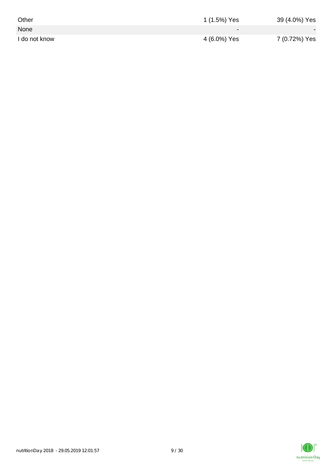| Other         | 1 (1.5%) Yes             | 39 (4.0%) Yes            |
|---------------|--------------------------|--------------------------|
| None          | $\overline{\phantom{0}}$ | $\overline{\phantom{a}}$ |
| I do not know | 4 (6.0%) Yes             | 7 (0.72%) Yes            |

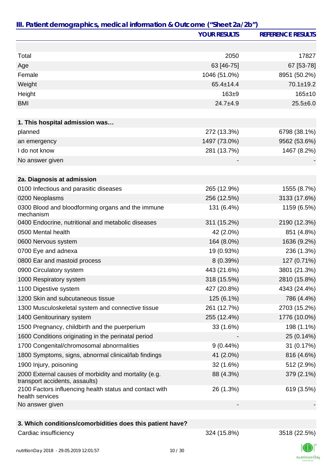|                                                                                         | <b>YOUR RESULTS</b> | <b>REFERENCE RESULTS</b> |
|-----------------------------------------------------------------------------------------|---------------------|--------------------------|
|                                                                                         |                     |                          |
| Total                                                                                   | 2050                | 17827                    |
| Age                                                                                     | 63 [46-75]          | 67 [53-78]               |
| Female                                                                                  | 1046 (51.0%)        | 8951 (50.2%)             |
| Weight                                                                                  | 65.4±14.4           | $70.1 \pm 19.2$          |
| Height                                                                                  | 163±9               | $165 + 10$               |
| <b>BMI</b>                                                                              | $24.7 + 4.9$        | $25.5 \pm 6.0$           |
| 1. This hospital admission was                                                          |                     |                          |
| planned                                                                                 | 272 (13.3%)         | 6798 (38.1%)             |
| an emergency                                                                            | 1497 (73.0%)        | 9562 (53.6%)             |
| I do not know                                                                           | 281 (13.7%)         | 1467 (8.2%)              |
| No answer given                                                                         |                     |                          |
|                                                                                         |                     |                          |
| 2a. Diagnosis at admission                                                              |                     |                          |
| 0100 Infectious and parasitic diseases                                                  | 265 (12.9%)         | 1555 (8.7%)              |
| 0200 Neoplasms                                                                          | 256 (12.5%)         | 3133 (17.6%)             |
| 0300 Blood and bloodforming organs and the immune<br>mechanism                          | 131 (6.4%)          | 1159 (6.5%)              |
| 0400 Endocrine, nutritional and metabolic diseases                                      | 311 (15.2%)         | 2190 (12.3%)             |
| 0500 Mental health                                                                      | 42 (2.0%)           | 851 (4.8%)               |
| 0600 Nervous system                                                                     | 164 (8.0%)          | 1636 (9.2%)              |
| 0700 Eye and adnexa                                                                     | 19 (0.93%)          | 236 (1.3%)               |
| 0800 Ear and mastoid process                                                            | 8 (0.39%)           | 127 (0.71%)              |
| 0900 Circulatory system                                                                 | 443 (21.6%)         | 3801 (21.3%)             |
| 1000 Respiratory system                                                                 | 318 (15.5%)         | 2810 (15.8%)             |
| 1100 Digestive system                                                                   | 427 (20.8%)         | 4343 (24.4%)             |
| 1200 Skin and subcutaneous tissue                                                       | 125 (6.1%)          | 786 (4.4%)               |
| 1300 Musculoskeletal system and connective tissue                                       | 261 (12.7%)         | 2703 (15.2%)             |
| 1400 Genitourinary system                                                               | 255 (12.4%)         | 1776 (10.0%)             |
| 1500 Pregnancy, childbirth and the puerperium                                           | 33 (1.6%)           | 198 (1.1%)               |
| 1600 Conditions originating in the perinatal period                                     |                     | 25 (0.14%)               |
| 1700 Congenital/chromosomal abnormalities                                               | $9(0.44\%)$         | 31 (0.17%)               |
| 1800 Symptoms, signs, abnormal clinical/lab findings                                    | 41 (2.0%)           | 816 (4.6%)               |
| 1900 Injury, poisoning                                                                  | 32 (1.6%)           | 512 (2.9%)               |
| 2000 External causes of morbidity and mortality (e.g.<br>transport accidents, assaults) | 88 (4.3%)           | 379 (2.1%)               |
| 2100 Factors influencing health status and contact with<br>health services              | 26 (1.3%)           | 619 (3.5%)               |
| No answer given                                                                         |                     |                          |
|                                                                                         |                     |                          |
| 3. Which conditions/comorbidities does this patient have?                               |                     |                          |
| Cardiac insufficiency                                                                   | 324 (15.8%)         | 3518 (22.5%)             |

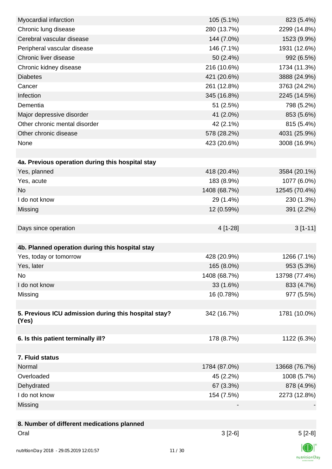| Myocardial infarction                                | 105 (5.1%)   | 823 (5.4%)    |
|------------------------------------------------------|--------------|---------------|
| Chronic lung disease                                 | 280 (13.7%)  | 2299 (14.8%)  |
| Cerebral vascular disease                            | 144 (7.0%)   | 1523 (9.9%)   |
| Peripheral vascular disease                          | 146 (7.1%)   | 1931 (12.6%)  |
| Chronic liver disease                                | 50 (2.4%)    | 992 (6.5%)    |
| Chronic kidney disease                               | 216 (10.6%)  | 1734 (11.3%)  |
| <b>Diabetes</b>                                      | 421 (20.6%)  | 3888 (24.9%)  |
| Cancer                                               | 261 (12.8%)  | 3763 (24.2%)  |
| Infection                                            | 345 (16.8%)  | 2245 (14.5%)  |
| Dementia                                             | 51 (2.5%)    | 798 (5.2%)    |
| Major depressive disorder                            | 41 (2.0%)    | 853 (5.6%)    |
| Other chronic mental disorder                        | 42 (2.1%)    | 815 (5.4%)    |
| Other chronic disease                                | 578 (28.2%)  | 4031 (25.9%)  |
| None                                                 | 423 (20.6%)  | 3008 (16.9%)  |
|                                                      |              |               |
| 4a. Previous operation during this hospital stay     |              |               |
| Yes, planned                                         | 418 (20.4%)  | 3584 (20.1%)  |
| Yes, acute                                           | 183 (8.9%)   | 1077 (6.0%)   |
| <b>No</b>                                            | 1408 (68.7%) | 12545 (70.4%) |
| I do not know                                        | 29 (1.4%)    | 230 (1.3%)    |
| Missing                                              | 12 (0.59%)   | 391 (2.2%)    |
|                                                      |              |               |
| Days since operation                                 | 4 [1-28]     | $3[1-11]$     |
|                                                      |              |               |
| 4b. Planned operation during this hospital stay      |              |               |
| Yes, today or tomorrow                               | 428 (20.9%)  | 1266 (7.1%)   |
| Yes, later                                           | 165 (8.0%)   | 953 (5.3%)    |
| No                                                   | 1408 (68.7%) | 13798 (77.4%) |
| I do not know                                        | 33 (1.6%)    | 833 (4.7%)    |
| Missing                                              | 16 (0.78%)   | 977 (5.5%)    |
|                                                      |              |               |
| 5. Previous ICU admission during this hospital stay? | 342 (16.7%)  | 1781 (10.0%)  |
| (Yes)                                                |              |               |
|                                                      |              |               |
| 6. Is this patient terminally ill?                   | 178 (8.7%)   | 1122 (6.3%)   |
|                                                      |              |               |
| 7. Fluid status                                      |              |               |
| Normal                                               | 1784 (87.0%) | 13668 (76.7%) |
| Overloaded                                           | 45 (2.2%)    | 1008 (5.7%)   |
| Dehydrated                                           | 67 (3.3%)    | 878 (4.9%)    |
| I do not know                                        | 154 (7.5%)   | 2273 (12.8%)  |
| Missing                                              |              |               |
|                                                      |              |               |
| 8. Number of different medications planned           |              |               |
| Oral                                                 | $3[2-6]$     | $5[2-8]$      |
|                                                      |              | $\sqrt{2}$    |

 $\mathbb{C} \mathbb{D} \mathbb{I}$ nutritionDay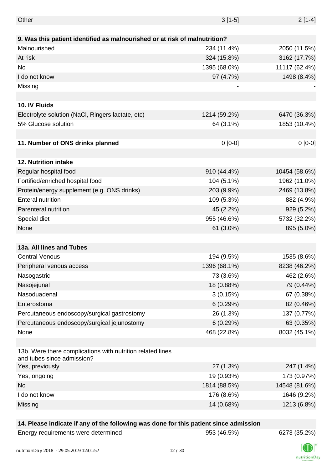| Other                                                                                    | $3[1-5]$     | $2[1-4]$      |
|------------------------------------------------------------------------------------------|--------------|---------------|
|                                                                                          |              |               |
| 9. Was this patient identified as malnourished or at risk of malnutrition?               |              |               |
| Malnourished                                                                             | 234 (11.4%)  | 2050 (11.5%)  |
| At risk                                                                                  | 324 (15.8%)  | 3162 (17.7%)  |
| <b>No</b>                                                                                | 1395 (68.0%) | 11117 (62.4%) |
| I do not know                                                                            | 97 (4.7%)    | 1498 (8.4%)   |
| Missing                                                                                  |              |               |
|                                                                                          |              |               |
| 10. IV Fluids                                                                            |              |               |
| Electrolyte solution (NaCl, Ringers lactate, etc)                                        | 1214 (59.2%) | 6470 (36.3%)  |
| 5% Glucose solution                                                                      | 64 (3.1%)    | 1853 (10.4%)  |
|                                                                                          |              |               |
| 11. Number of ONS drinks planned                                                         | $0 [0-0]$    | $0[0-0]$      |
|                                                                                          |              |               |
| 12. Nutrition intake                                                                     |              |               |
| Regular hospital food                                                                    | 910 (44.4%)  | 10454 (58.6%) |
| Fortified/enriched hospital food                                                         | 104 (5.1%)   | 1962 (11.0%)  |
| Protein/energy supplement (e.g. ONS drinks)                                              | 203 (9.9%)   | 2469 (13.8%)  |
| <b>Enteral nutrition</b>                                                                 | 109 (5.3%)   | 882 (4.9%)    |
| Parenteral nutrition                                                                     | 45 (2.2%)    | 929 (5.2%)    |
| Special diet                                                                             | 955 (46.6%)  | 5732 (32.2%)  |
| None                                                                                     | 61 (3.0%)    | 895 (5.0%)    |
|                                                                                          |              |               |
| 13a. All lines and Tubes                                                                 |              |               |
| <b>Central Venous</b>                                                                    | 194 (9.5%)   | 1535 (8.6%)   |
| Peripheral venous access                                                                 | 1396 (68.1%) | 8238 (46.2%)  |
| Nasogastric                                                                              | 73 (3.6%)    | 462 (2.6%)    |
| Nasojejunal                                                                              | 18 (0.88%)   | 79 (0.44%)    |
| Nasoduadenal                                                                             | 3(0.15%)     | 67 (0.38%)    |
| Enterostoma                                                                              | 6(0.29%)     | 82 (0.46%)    |
| Percutaneous endoscopy/surgical gastrostomy                                              | 26 (1.3%)    | 137 (0.77%)   |
| Percutaneous endoscopy/surgical jejunostomy                                              | 6(0.29%)     | 63 (0.35%)    |
| None                                                                                     | 468 (22.8%)  | 8032 (45.1%)  |
|                                                                                          |              |               |
| 13b. Were there complications with nutrition related lines<br>and tubes since admission? |              |               |
| Yes, previously                                                                          | 27 (1.3%)    | 247 (1.4%)    |
| Yes, ongoing                                                                             | 19 (0.93%)   | 173 (0.97%)   |
| <b>No</b>                                                                                | 1814 (88.5%) | 14548 (81.6%) |
| I do not know                                                                            | 176 (8.6%)   | 1646 (9.2%)   |
| Missing                                                                                  | 14 (0.68%)   | 1213 (6.8%)   |
|                                                                                          |              |               |

## **14. Please indicate if any of the following was done for this patient since admission**

| Energy requirements were determined |
|-------------------------------------|
|-------------------------------------|

Energy requirements were determined 953 (46.5%) 6273 (35.2%)

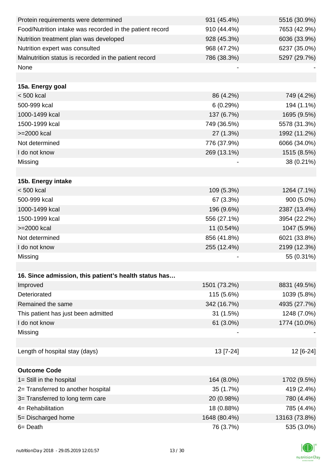| Protein requirements were determined                     | 931 (45.4%)  | 5516 (30.9%)  |
|----------------------------------------------------------|--------------|---------------|
| Food/Nutrition intake was recorded in the patient record | 910 (44.4%)  | 7653 (42.9%)  |
| Nutrition treatment plan was developed                   | 928 (45.3%)  | 6036 (33.9%)  |
| Nutrition expert was consulted                           | 968 (47.2%)  | 6237 (35.0%)  |
| Malnutrition status is recorded in the patient record    | 786 (38.3%)  | 5297 (29.7%)  |
| None                                                     |              |               |
|                                                          |              |               |
| 15a. Energy goal                                         |              |               |
| $< 500$ kcal                                             | 86 (4.2%)    | 749 (4.2%)    |
| 500-999 kcal                                             | 6(0.29%)     | 194 (1.1%)    |
| 1000-1499 kcal                                           | 137 (6.7%)   | 1695 (9.5%)   |
| 1500-1999 kcal                                           | 749 (36.5%)  | 5578 (31.3%)  |
| >=2000 kcal                                              | 27 (1.3%)    | 1992 (11.2%)  |
| Not determined                                           | 776 (37.9%)  | 6066 (34.0%)  |
| I do not know                                            | 269 (13.1%)  | 1515 (8.5%)   |
| Missing                                                  |              | 38 (0.21%)    |
|                                                          |              |               |
| 15b. Energy intake                                       |              |               |
| $< 500$ kcal                                             | 109 (5.3%)   | 1264 (7.1%)   |
| 500-999 kcal                                             | 67 (3.3%)    | 900 (5.0%)    |
| 1000-1499 kcal                                           | 196 (9.6%)   | 2387 (13.4%)  |
| 1500-1999 kcal                                           | 556 (27.1%)  | 3954 (22.2%)  |
| >=2000 kcal                                              | 11 (0.54%)   | 1047 (5.9%)   |
| Not determined                                           | 856 (41.8%)  | 6021 (33.8%)  |
| I do not know                                            | 255 (12.4%)  | 2199 (12.3%)  |
| Missing                                                  |              | 55 (0.31%)    |
|                                                          |              |               |
| 16. Since admission, this patient's health status has    |              |               |
| Improved                                                 | 1501 (73.2%) | 8831 (49.5%)  |
| Deteriorated                                             | 115 (5.6%)   | 1039 (5.8%)   |
| Remained the same                                        | 342 (16.7%)  | 4935 (27.7%)  |
| This patient has just been admitted                      | 31 (1.5%)    | 1248 (7.0%)   |
| I do not know                                            | 61 (3.0%)    | 1774 (10.0%)  |
| Missing                                                  |              |               |
|                                                          |              |               |
| Length of hospital stay (days)                           | 13 [7-24]    | 12 [6-24]     |
|                                                          |              |               |
| <b>Outcome Code</b>                                      |              |               |
| 1= Still in the hospital                                 | 164 (8.0%)   | 1702 (9.5%)   |
| 2= Transferred to another hospital                       | 35 (1.7%)    | 419 (2.4%)    |
| 3= Transferred to long term care                         | 20 (0.98%)   | 780 (4.4%)    |
| 4= Rehabilitation                                        | 18 (0.88%)   | 785 (4.4%)    |
| 5= Discharged home                                       | 1648 (80.4%) | 13163 (73.8%) |
| $6 = Death$                                              | 76 (3.7%)    | 535 (3.0%)    |

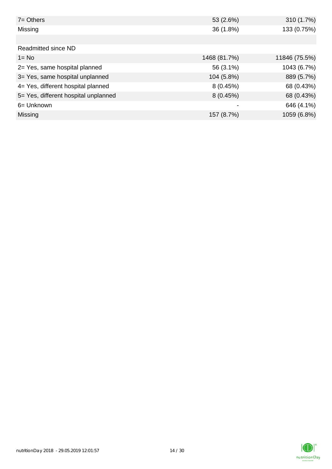| $7 = Others$                         | 53 (2.6%)    | 310 (1.7%)    |
|--------------------------------------|--------------|---------------|
| Missing                              | 36 (1.8%)    | 133 (0.75%)   |
|                                      |              |               |
| Readmitted since ND                  |              |               |
| $1 = No$                             | 1468 (81.7%) | 11846 (75.5%) |
| 2= Yes, same hospital planned        | 56 (3.1%)    | 1043 (6.7%)   |
| 3= Yes, same hospital unplanned      | 104 (5.8%)   | 889 (5.7%)    |
| 4= Yes, different hospital planned   | 8(0.45%)     | 68 (0.43%)    |
| 5= Yes, different hospital unplanned | 8(0.45%)     | 68 (0.43%)    |
| 6= Unknown                           | -            | 646 (4.1%)    |
| Missing                              | 157 (8.7%)   | 1059 (6.8%)   |

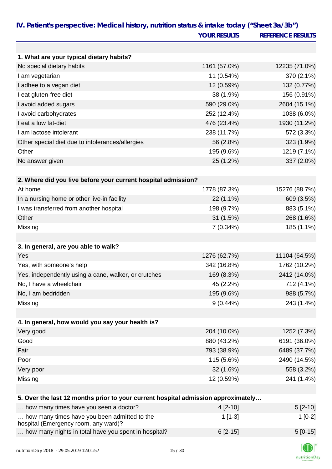| IV. Patient's perspective: Medical history, nutrition status & intake today ("Sheet 3a/3b") | <b>YOUR RESULTS</b> | <b>REFERENCE RESULTS</b> |
|---------------------------------------------------------------------------------------------|---------------------|--------------------------|
|                                                                                             |                     |                          |
| 1. What are your typical dietary habits?                                                    |                     |                          |
| No special dietary habits                                                                   | 1161 (57.0%)        | 12235 (71.0%)            |
| I am vegetarian                                                                             | 11 (0.54%)          | 370 (2.1%)               |
| I adhee to a vegan diet                                                                     | 12 (0.59%)          | 132 (0.77%)              |
| I eat gluten-free diet                                                                      | 38 (1.9%)           | 156 (0.91%)              |
| I avoid added sugars                                                                        | 590 (29.0%)         | 2604 (15.1%)             |
| I avoid carbohydrates                                                                       | 252 (12.4%)         | 1038 (6.0%)              |
| I eat a low fat-diet                                                                        | 476 (23.4%)         | 1930 (11.2%)             |
| I am lactose intolerant                                                                     | 238 (11.7%)         | 572 (3.3%)               |
| Other special diet due to intolerances/allergies                                            | 56 (2.8%)           | 323 (1.9%)               |
| Other                                                                                       | 195 (9.6%)          | 1219 (7.1%)              |
| No answer given                                                                             | 25 (1.2%)           | 337 (2.0%)               |
|                                                                                             |                     |                          |
| 2. Where did you live before your current hospital admission?                               |                     |                          |
| At home                                                                                     | 1778 (87.3%)        | 15276 (88.7%)            |
| In a nursing home or other live-in facility                                                 | 22 (1.1%)           | 609 (3.5%)               |
| I was transferred from another hospital                                                     | 198 (9.7%)          | 883 (5.1%)               |
| Other                                                                                       | 31 (1.5%)           | 268 (1.6%)               |
| Missing                                                                                     | $7(0.34\%)$         | 185 (1.1%)               |
|                                                                                             |                     |                          |
| 3. In general, are you able to walk?                                                        |                     |                          |
| Yes                                                                                         | 1276 (62.7%)        | 11104 (64.5%)            |
| Yes, with someone's help                                                                    | 342 (16.8%)         | 1762 (10.2%)             |
| Yes, independently using a cane, walker, or crutches                                        | 169 (8.3%)          | 2412 (14.0%)             |
| No, I have a wheelchair                                                                     | 45 (2.2%)           | 712 (4.1%)               |
| No, I am bedridden                                                                          | 195 (9.6%)          | 988 (5.7%)               |
| Missing                                                                                     | $9(0.44\%)$         | 243 (1.4%)               |
|                                                                                             |                     |                          |
| 4. In general, how would you say your health is?                                            |                     |                          |
| Very good                                                                                   | 204 (10.0%)         | 1252 (7.3%)              |
| Good                                                                                        | 880 (43.2%)         | 6191 (36.0%)             |
| Fair                                                                                        | 793 (38.9%)         | 6489 (37.7%)             |
| Poor                                                                                        | 115 (5.6%)          | 2490 (14.5%)             |
| Very poor                                                                                   | 32 (1.6%)           | 558 (3.2%)               |
| Missing                                                                                     | 12 (0.59%)          | 241 (1.4%)               |
|                                                                                             |                     |                          |
| 5. Over the last 12 months prior to your current hospital admission approximately           |                     |                          |
| how many times have you seen a doctor?                                                      | 4 [2-10]            | $5[2-10]$                |
| how many times have you been admitted to the<br>hospital (Emergency room, any ward)?        | $1[1-3]$            | $1[0-2]$                 |
| how many nights in total have you spent in hospital?                                        | $6[2-15]$           | $5[0-15]$                |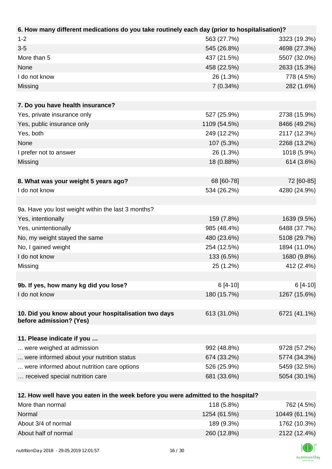| 6. How many different medications do you take routinely each day (prior to hospitalisation)? |              |              |
|----------------------------------------------------------------------------------------------|--------------|--------------|
| $1 - 2$                                                                                      | 563 (27.7%)  | 3323 (19.3%) |
| $3-5$                                                                                        | 545 (26.8%)  | 4698 (27.3%) |
| More than 5                                                                                  | 437 (21.5%)  | 5507 (32.0%) |
| None                                                                                         | 458 (22.5%)  | 2633 (15.3%) |
| I do not know                                                                                | 26 (1.3%)    | 778 (4.5%)   |
| Missing                                                                                      | $7(0.34\%)$  | 282 (1.6%)   |
|                                                                                              |              |              |
| 7. Do you have health insurance?                                                             |              |              |
| Yes, private insurance only                                                                  | 527 (25.9%)  | 2738 (15.9%) |
| Yes, public insurance only                                                                   | 1109 (54.5%) | 8466 (49.2%) |
| Yes, both                                                                                    | 249 (12.2%)  | 2117 (12.3%) |
| None                                                                                         | 107 (5.3%)   | 2268 (13.2%) |
| I prefer not to answer                                                                       | 26 (1.3%)    | 1018 (5.9%)  |
| Missing                                                                                      | 18 (0.88%)   | 614 (3.6%)   |
|                                                                                              |              |              |
| 8. What was your weight 5 years ago?                                                         | 68 [60-78]   | 72 [60-85]   |
| I do not know                                                                                | 534 (26.2%)  | 4280 (24.9%) |
|                                                                                              |              |              |
| 9a. Have you lost weight within the last 3 months?                                           |              |              |
| Yes, intentionally                                                                           | 159 (7.8%)   | 1639 (9.5%)  |
| Yes, unintentionally                                                                         | 985 (48.4%)  | 6488 (37.7%) |
| No, my weight stayed the same                                                                | 480 (23.6%)  | 5108 (29.7%) |
| No, I gained weight                                                                          | 254 (12.5%)  | 1894 (11.0%) |
| I do not know                                                                                | 133 (6.5%)   | 1680 (9.8%)  |
| Missing                                                                                      | 25 (1.2%)    | 412 (2.4%)   |
|                                                                                              |              |              |
| 9b. If yes, how many kg did you lose?                                                        | $6[4-10]$    | $6[4-10]$    |
| I do not know                                                                                | 180 (15.7%)  | 1267 (15.6%) |
|                                                                                              |              |              |
| 10. Did you know about your hospitalisation two days<br>before admission? (Yes)              | 613 (31.0%)  | 6721 (41.1%) |
| 11. Please indicate if you                                                                   |              |              |
| were weighed at admission                                                                    | 992 (48.8%)  | 9728 (57.2%) |
| were informed about your nutrition status                                                    | 674 (33.2%)  | 5774 (34.3%) |
| were informed about nutrition care options                                                   | 526 (25.9%)  | 5459 (32.5%) |
| received special nutrition care                                                              | 681 (33.6%)  | 5054 (30.1%) |
|                                                                                              |              |              |
| 12. How well have you eaten in the week before you were admitted to the hospital?            |              |              |
| More than normal                                                                             | 118 (5.8%)   | 762 (4.5%)   |
|                                                                                              |              |              |

| Normal               | 1254 (61.5%) | 10449 (61.1%) |
|----------------------|--------------|---------------|
| About 3/4 of normal  | 189 (9.3%)   | 1762 (10.3%)  |
| About half of normal | 260 (12.8%)  | 2122 (12.4%)  |
|                      |              |               |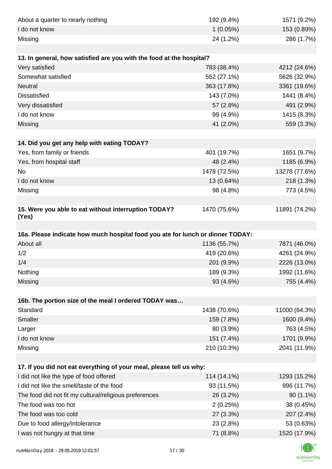| About a quarter to nearly nothing                                              | 192 (9.4%)   | 1571 (9.2%)   |
|--------------------------------------------------------------------------------|--------------|---------------|
| I do not know                                                                  | 1(0.05%)     | 153 (0.89%)   |
| Missing                                                                        | 24 (1.2%)    | 286 (1.7%)    |
|                                                                                |              |               |
| 13. In general, how satisfied are you with the food at the hospital?           |              |               |
| Very satisfied                                                                 | 783 (38.4%)  | 4212 (24.6%)  |
| Somewhat satisfied                                                             | 552 (27.1%)  | 5626 (32.9%)  |
| Neutral                                                                        | 363 (17.8%)  | 3361 (19.6%)  |
| <b>Dissatisfied</b>                                                            | 143 (7.0%)   | 1441 (8.4%)   |
| Very dissatisfied                                                              | 57 (2.8%)    | 491 (2.9%)    |
| I do not know                                                                  | 99 (4.9%)    | 1415 (8.3%)   |
| Missing                                                                        | 41 (2.0%)    | 559 (3.3%)    |
|                                                                                |              |               |
| 14. Did you get any help with eating TODAY?                                    |              |               |
| Yes, from family or friends                                                    | 401 (19.7%)  | 1651 (9.7%)   |
| Yes, from hospital staff                                                       | 48 (2.4%)    | 1185 (6.9%)   |
| No                                                                             | 1478 (72.5%) | 13278 (77.6%) |
| I do not know                                                                  | 13 (0.64%)   | 218 (1.3%)    |
| Missing                                                                        | 98 (4.8%)    | 773 (4.5%)    |
|                                                                                |              |               |
| 15. Were you able to eat without interruption TODAY?<br>(Yes)                  | 1470 (75.6%) | 11891 (74.2%) |
|                                                                                |              |               |
| 16a. Please indicate how much hospital food you ate for lunch or dinner TODAY: |              |               |
| About all                                                                      | 1136 (55.7%) | 7871 (46.0%)  |
| 1/2                                                                            | 419 (20.6%)  | 4261 (24.9%)  |
| 1/4                                                                            | 201 (9.9%)   | 2226 (13.0%)  |
| Nothing                                                                        | 189 (9.3%)   | 1992 (11.6%)  |
| Missing                                                                        | 93 (4.6%)    | 755 (4.4%)    |
|                                                                                |              |               |
| 16b. The portion size of the meal I ordered TODAY was                          |              |               |
| Standard                                                                       | 1438 (70.6%) | 11000 (64.3%) |
| Smaller                                                                        | 159 (7.8%)   | 1600 (9.4%)   |
| Larger                                                                         | 80 (3.9%)    | 763 (4.5%)    |
| I do not know                                                                  | 151 (7.4%)   | 1701 (9.9%)   |
| Missing                                                                        | 210 (10.3%)  | 2041 (11.9%)  |
|                                                                                |              |               |
| 17. If you did not eat everything of your meal, please tell us why:            |              |               |
| I did not like the type of food offered                                        | 114 (14.1%)  | 1293 (15.2%)  |
| I did not like the smell/taste of the food                                     | 93 (11.5%)   | 996 (11.7%)   |
| The food did not fit my cultural/religious preferences                         | 26 (3.2%)    | $90(1.1\%)$   |
| The food was too hot                                                           | 2(0.25%)     | 38 (0.45%)    |
| The food was too cold                                                          | 27 (3.3%)    | 207 (2.4%)    |
| Due to food allergy/intolerance                                                | 23 (2.8%)    | 53 (0.63%)    |
| I was not hungry at that time                                                  | 71 (8.8%)    | 1520 (17.9%)  |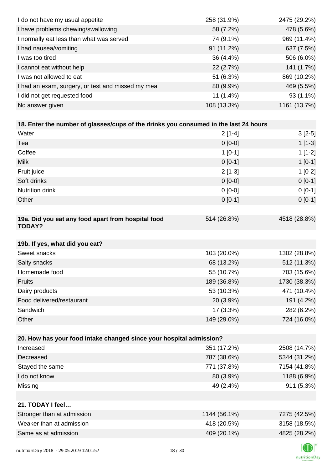| I do not have my usual appetite                                                      | 258 (31.9%)  | 2475 (29.2%) |
|--------------------------------------------------------------------------------------|--------------|--------------|
| I have problems chewing/swallowing                                                   | 58 (7.2%)    | 478 (5.6%)   |
| I normally eat less than what was served                                             | 74 (9.1%)    | 969 (11.4%)  |
| I had nausea/vomiting                                                                | 91 (11.2%)   | 637 (7.5%)   |
| I was too tired                                                                      | 36 (4.4%)    | 506 (6.0%)   |
| I cannot eat without help                                                            | 22 (2.7%)    | 141 (1.7%)   |
| I was not allowed to eat                                                             | 51 (6.3%)    | 869 (10.2%)  |
| I had an exam, surgery, or test and missed my meal                                   | 80 (9.9%)    | 469 (5.5%)   |
| I did not get requested food                                                         | $11(1.4\%)$  | 93 (1.1%)    |
| No answer given                                                                      | 108 (13.3%)  | 1161 (13.7%) |
|                                                                                      |              |              |
| 18. Enter the number of glasses/cups of the drinks you consumed in the last 24 hours |              |              |
| Water                                                                                | $2[1-4]$     | $3[2-5]$     |
| Tea                                                                                  | $0[0-0]$     | $1[1-3]$     |
| Coffee                                                                               | $1[0-1]$     | $1[1-2]$     |
| <b>Milk</b>                                                                          | $0 [0-1]$    | $1[0-1]$     |
| Fruit juice                                                                          | $2[1-3]$     | $1[0-2]$     |
| Soft drinks                                                                          | $0[0-0]$     | $0 [0-1]$    |
| Nutrition drink                                                                      | $0 [0-0]$    | $0[0-1]$     |
| Other                                                                                | $0[0-1]$     | $0[0-1]$     |
|                                                                                      |              |              |
| 19a. Did you eat any food apart from hospital food<br><b>TODAY?</b>                  | 514 (26.8%)  | 4518 (28.8%) |
| 19b. If yes, what did you eat?                                                       |              |              |
| Sweet snacks                                                                         | 103 (20.0%)  | 1302 (28.8%) |
| Salty snacks                                                                         | 68 (13.2%)   | 512 (11.3%)  |
| Homemade food                                                                        | 55 (10.7%)   | 703 (15.6%)  |
| Fruits                                                                               | 189 (36.8%)  | 1730 (38.3%) |
| Dairy products                                                                       | 53 (10.3%)   | 471 (10.4%)  |
| Food delivered/restaurant                                                            | 20 (3.9%)    | 191 (4.2%)   |
| Sandwich                                                                             | 17 (3.3%)    | 282 (6.2%)   |
| Other                                                                                | 149 (29.0%)  | 724 (16.0%)  |
|                                                                                      |              |              |
| 20. How has your food intake changed since your hospital admission?                  |              |              |
| Increased                                                                            | 351 (17.2%)  | 2508 (14.7%) |
| Decreased                                                                            | 787 (38.6%)  | 5344 (31.2%) |
| Stayed the same                                                                      | 771 (37.8%)  | 7154 (41.8%) |
| I do not know                                                                        | 80 (3.9%)    | 1188 (6.9%)  |
| Missing                                                                              | 49 (2.4%)    | 911 (5.3%)   |
|                                                                                      |              |              |
| 21. TODAY I feel                                                                     |              |              |
| Stronger than at admission                                                           | 1144 (56.1%) | 7275 (42.5%) |
| Weaker than at admission                                                             | 418 (20.5%)  | 3158 (18.5%) |
| Same as at admission                                                                 | 409 (20.1%)  | 4825 (28.2%) |
|                                                                                      |              |              |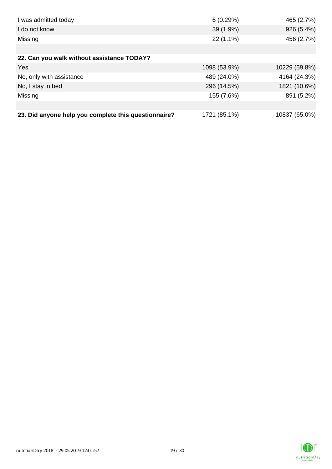| I was admitted today                                 | 6(0.29%)     | 465 (2.7%)    |
|------------------------------------------------------|--------------|---------------|
| I do not know                                        | 39 (1.9%)    | 926 (5.4%)    |
| Missing                                              | 22 (1.1%)    | 456 (2.7%)    |
|                                                      |              |               |
| 22. Can you walk without assistance TODAY?           |              |               |
| <b>Yes</b>                                           | 1098 (53.9%) | 10229 (59.8%) |
| No, only with assistance                             | 489 (24.0%)  | 4164 (24.3%)  |
| No, I stay in bed                                    | 296 (14.5%)  | 1821 (10.6%)  |
| Missing                                              | 155 (7.6%)   | 891 (5.2%)    |
|                                                      |              |               |
| 23. Did anyone help you complete this questionnaire? | 1721 (85.1%) | 10837 (65.0%) |

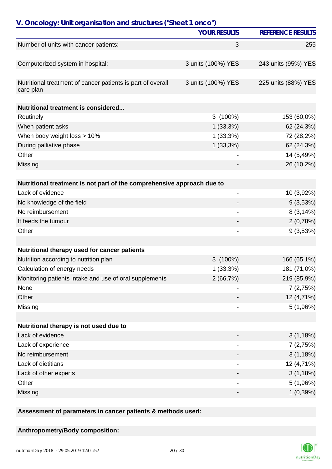| V. Oncology: Unit organisation and structures ("Sheet 1 onco")           |                     |                          |
|--------------------------------------------------------------------------|---------------------|--------------------------|
|                                                                          | <b>YOUR RESULTS</b> | <b>REFERENCE RESULTS</b> |
| Number of units with cancer patients:                                    | 3                   | 255                      |
| Computerized system in hospital:                                         | 3 units (100%) YES  | 243 units (95%) YES      |
| Nutritional treatment of cancer patients is part of overall<br>care plan | 3 units (100%) YES  | 225 units (88%) YES      |
| Nutritional treatment is considered                                      |                     |                          |
| Routinely                                                                | $3(100\%)$          | 153 (60,0%)              |
| When patient asks                                                        | 1(33,3%)            | 62 (24,3%)               |
| When body weight loss > 10%                                              | 1(33,3%)            | 72 (28,2%)               |
| During palliative phase                                                  | $1(33,3\%)$         | 62 (24,3%)               |
| Other                                                                    |                     | 14 (5,49%)               |
| Missing                                                                  |                     | 26 (10,2%)               |
| Nutritional treatment is not part of the comprehensive approach due to   |                     |                          |
| Lack of evidence                                                         | -                   | 10 (3,92%)               |
| No knowledge of the field                                                |                     | 9(3,53%)                 |
| No reimbursement                                                         |                     | 8(3,14%)                 |
| It feeds the tumour                                                      |                     | 2(0,78%)                 |
| Other                                                                    |                     | 9(3,53%)                 |
|                                                                          |                     |                          |
| Nutritional therapy used for cancer patients                             |                     |                          |
| Nutrition according to nutrition plan                                    | $3(100\%)$          | 166 (65,1%)              |
| Calculation of energy needs                                              | 1(33,3%)            | 181 (71,0%)              |
| Monitoring patients intake and use of oral supplements                   | 2(66,7%)            | 219 (85,9%)              |
| None                                                                     |                     | 7(2,75%)                 |
| Other                                                                    |                     | 12 (4,71%)               |
| Missing                                                                  | $\overline{a}$      | 5(1,96%)                 |
| Nutritional therapy is not used due to                                   |                     |                          |
| Lack of evidence                                                         |                     | 3(1,18%)                 |
| Lack of experience                                                       |                     | 7(2,75%)                 |
| No reimbursement                                                         |                     | 3(1,18%)                 |
| Lack of dietitians                                                       | $\overline{a}$      | 12 (4,71%)               |
| Lack of other experts                                                    |                     | 3(1,18%)                 |
| Other                                                                    | -                   | 5(1,96%)                 |
| Missing                                                                  | -                   | 1(0,39%)                 |
|                                                                          |                     |                          |

**Assessment of parameters in cancer patients & methods used:**

## **Anthropometry/Body composition:**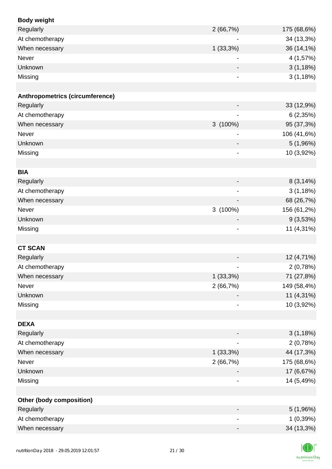| <b>Body weight</b>                     |                              |             |
|----------------------------------------|------------------------------|-------------|
| Regularly                              | 2(66,7%)                     | 175 (68,6%) |
| At chemotherapy                        | $\overline{a}$               | 34 (13,3%)  |
| When necessary                         | 1(33,3%)                     | 36 (14,1%)  |
| Never                                  |                              | 4 (1,57%)   |
| Unknown                                |                              | 3(1,18%)    |
| Missing                                |                              | 3(1,18%)    |
|                                        |                              |             |
| <b>Anthropometrics (circumference)</b> |                              |             |
| Regularly                              |                              | 33 (12,9%)  |
| At chemotherapy                        |                              | 6(2,35%)    |
| When necessary                         | 3 (100%)                     | 95 (37,3%)  |
| Never                                  |                              | 106 (41,6%) |
| Unknown                                |                              | 5 (1,96%)   |
| Missing                                | $\overline{\phantom{a}}$     | 10 (3,92%)  |
|                                        |                              |             |
| <b>BIA</b>                             |                              |             |
| Regularly                              |                              | 8(3,14%)    |
| At chemotherapy                        |                              | 3(1,18%)    |
| When necessary                         |                              | 68 (26,7%)  |
| Never                                  | 3 (100%)                     | 156 (61,2%) |
| Unknown                                | $\overline{\phantom{a}}$     | 9(3,53%)    |
| Missing                                | $\qquad \qquad \blacksquare$ | 11 (4,31%)  |
|                                        |                              |             |
| <b>CT SCAN</b>                         |                              |             |
| Regularly                              |                              | 12 (4,71%)  |
| At chemotherapy                        |                              | 2(0,78%)    |
| When necessary                         | $1(33,3\%)$                  | 71 (27,8%)  |
| Never                                  | 2(66,7%)                     | 149 (58,4%) |
| Unknown                                |                              | 11 (4,31%)  |
| Missing                                |                              | 10 (3,92%)  |
|                                        |                              |             |
| <b>DEXA</b>                            |                              |             |
| Regularly                              |                              | 3(1,18%)    |
| At chemotherapy                        | $\overline{\phantom{a}}$     | 2(0,78%)    |
| When necessary                         | $1(33,3\%)$                  | 44 (17,3%)  |
| Never                                  | 2(66,7%)                     | 175 (68,6%) |
| Unknown                                |                              | 17 (6,67%)  |
| Missing                                |                              | 14 (5,49%)  |
|                                        |                              |             |
| Other (body composition)               |                              |             |
| Regularly                              | $\overline{\phantom{a}}$     | 5(1,96%)    |
| At chemotherapy                        |                              | 1(0,39%)    |
| When necessary                         |                              | 34 (13,3%)  |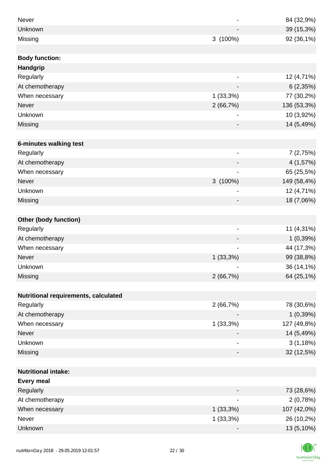| <b>Never</b>                         |                              | 84 (32,9%)  |
|--------------------------------------|------------------------------|-------------|
| Unknown                              |                              |             |
|                                      |                              | 39 (15,3%)  |
| Missing                              | 3 (100%)                     | 92 (36,1%)  |
|                                      |                              |             |
| <b>Body function:</b>                |                              |             |
| Handgrip                             |                              |             |
| Regularly                            | $\overline{\phantom{a}}$     | 12 (4,71%)  |
| At chemotherapy                      |                              | 6(2,35%)    |
| When necessary                       | 1(33,3%)                     | 77 (30,2%)  |
| <b>Never</b>                         | 2(66,7%)                     | 136 (53,3%) |
| Unknown                              | $\overline{\phantom{a}}$     | 10 (3,92%)  |
| Missing                              |                              | 14 (5,49%)  |
|                                      |                              |             |
| 6-minutes walking test               |                              |             |
| Regularly                            | $\qquad \qquad \blacksquare$ | 7(2,75%)    |
| At chemotherapy                      |                              | 4 (1,57%)   |
| When necessary                       |                              | 65 (25,5%)  |
| <b>Never</b>                         | $3(100\%)$                   | 149 (58,4%) |
| Unknown                              |                              | 12 (4,71%)  |
| Missing                              |                              | 18 (7,06%)  |
|                                      |                              |             |
| Other (body function)                |                              |             |
| Regularly                            | $\qquad \qquad \blacksquare$ | 11 (4,31%)  |
| At chemotherapy                      |                              | 1(0,39%)    |
| When necessary                       |                              | 44 (17,3%)  |
| Never                                | $1(33,3\%)$                  | 99 (38,8%)  |
| Unknown                              |                              | 36 (14,1%)  |
| Missing                              | 2(66,7%)                     | 64 (25,1%)  |
|                                      |                              |             |
| Nutritional requirements, calculated |                              |             |
| Regularly                            | 2(66,7%)                     | 78 (30,6%)  |
| At chemotherapy                      |                              | 1(0,39%)    |
| When necessary                       | 1(33,3%)                     | 127 (49,8%) |
| Never                                |                              | 14 (5,49%)  |
| Unknown                              |                              | 3(1,18%)    |
| Missing                              | -                            | 32 (12,5%)  |
|                                      |                              |             |
| <b>Nutritional intake:</b>           |                              |             |
| <b>Every meal</b>                    |                              |             |
| Regularly                            |                              | 73 (28,6%)  |
| At chemotherapy                      | $\qquad \qquad \blacksquare$ | 2(0,78%)    |
| When necessary                       | $1(33,3\%)$                  | 107 (42,0%) |
| Never                                | 1(33,3%)                     | 26 (10,2%)  |
| Unknown                              |                              | 13 (5,10%)  |

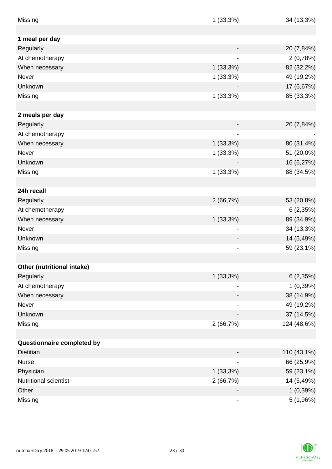| Missing                      | 1(33,3%)                     | 34 (13,3%)  |
|------------------------------|------------------------------|-------------|
| 1 meal per day               |                              |             |
| Regularly                    |                              | 20 (7,84%)  |
| At chemotherapy              |                              | 2(0,78%)    |
| When necessary               | 1(33,3%)                     | 82 (32,2%)  |
| Never                        |                              |             |
| Unknown                      | 1(33,3%)                     | 49 (19,2%)  |
|                              |                              | 17 (6,67%)  |
| Missing                      | 1(33,3%)                     | 85 (33,3%)  |
| 2 meals per day              |                              |             |
| Regularly                    |                              | 20 (7,84%)  |
| At chemotherapy              |                              |             |
| When necessary               | $1(33,3\%)$                  | 80 (31,4%)  |
| <b>Never</b>                 | 1(33,3%)                     | 51 (20,0%)  |
| Unknown                      |                              | 16 (6,27%)  |
| Missing                      | 1(33,3%)                     | 88 (34,5%)  |
|                              |                              |             |
| 24h recall                   |                              |             |
| Regularly                    | 2(66,7%)                     | 53 (20,8%)  |
| At chemotherapy              |                              | 6(2,35%)    |
| When necessary               | $1(33,3\%)$                  | 89 (34,9%)  |
| <b>Never</b>                 |                              | 34 (13,3%)  |
| Unknown                      |                              | 14 (5,49%)  |
| Missing                      |                              | 59 (23,1%)  |
|                              |                              |             |
| Other (nutritional intake)   |                              |             |
| Regularly                    | $1(33,3\%)$                  | 6(2,35%)    |
| At chemotherapy              |                              | 1(0,39%)    |
| When necessary               | $\overline{\phantom{a}}$     | 38 (14,9%)  |
| Never                        |                              | 49 (19,2%)  |
| Unknown                      |                              | 37 (14,5%)  |
| Missing                      | 2(66,7%)                     | 124 (48,6%) |
|                              |                              |             |
| Questionnaire completed by   |                              |             |
| Dietitian                    |                              | 110 (43,1%) |
| <b>Nurse</b>                 |                              | 66 (25,9%)  |
| Physician                    | $1(33,3\%)$                  | 59 (23,1%)  |
| <b>Nutritional scientist</b> | 2(66,7%)                     | 14 (5,49%)  |
| Other                        | $\overline{\phantom{a}}$     | 1(0,39%)    |
| Missing                      | $\qquad \qquad \blacksquare$ | 5 (1,96%)   |

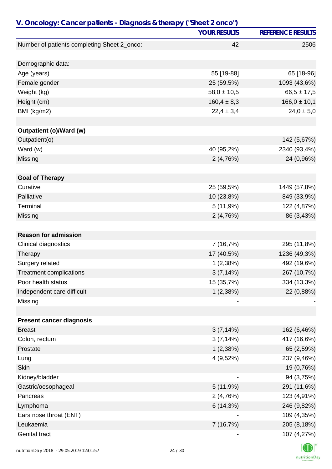| V. Oncology: Cancer patients - Diagnosis & therapy ("Sheet 2 onco") |                     |                          |
|---------------------------------------------------------------------|---------------------|--------------------------|
|                                                                     | <b>YOUR RESULTS</b> | <b>REFERENCE RESULTS</b> |
| Number of patients completing Sheet 2_onco:                         | 42                  | 2506                     |
|                                                                     |                     |                          |
| Demographic data:                                                   |                     |                          |
| Age (years)                                                         | 55 [19-88]          | 65 [18-96]               |
| Female gender                                                       | 25 (59,5%)          | 1093 (43,6%)             |
| Weight (kg)                                                         | $58,0 \pm 10,5$     | $66,5 \pm 17,5$          |
| Height (cm)                                                         | $160,4 \pm 8,3$     | $166,0 \pm 10,1$         |
| BMI (kg/m2)                                                         | $22,4 \pm 3,4$      | $24,0 \pm 5,0$           |
| Outpatient (o)/Ward (w)                                             |                     |                          |
| Outpatient(o)                                                       |                     | 142 (5,67%)              |
| Ward (w)                                                            | 40 (95,2%)          | 2340 (93,4%)             |
| Missing                                                             | 2(4,76%)            | 24 (0,96%)               |
|                                                                     |                     |                          |
| <b>Goal of Therapy</b>                                              |                     |                          |
| Curative                                                            | 25 (59,5%)          | 1449 (57,8%)             |
| Palliative                                                          | 10 (23,8%)          | 849 (33,9%)              |
| Terminal                                                            | 5(11,9%)            | 122 (4,87%)              |
| Missing                                                             | 2(4,76%)            | 86 (3,43%)               |
|                                                                     |                     |                          |
| <b>Reason for admission</b>                                         |                     |                          |
| Clinical diagnostics                                                | 7 (16,7%)           | 295 (11,8%)              |
| Therapy                                                             | 17 (40,5%)          | 1236 (49,3%)             |
| Surgery related                                                     | 1(2,38%)            | 492 (19,6%)              |
| <b>Treatment complications</b>                                      | 3(7,14%)            | 267 (10,7%)              |
| Poor health status                                                  | 15 (35,7%)          | 334 (13,3%)              |
| Independent care difficult                                          | 1(2,38%)            | 22 (0,88%)               |
| Missing                                                             |                     |                          |
|                                                                     |                     |                          |
| <b>Present cancer diagnosis</b>                                     |                     |                          |
| <b>Breast</b>                                                       | 3(7,14%)            | 162 (6,46%)              |
| Colon, rectum                                                       | 3(7,14%)            | 417 (16,6%)              |
| Prostate                                                            | 1(2,38%)            | 65 (2,59%)               |
| Lung                                                                | 4 (9,52%)           | 237 (9,46%)              |
| <b>Skin</b>                                                         |                     | 19 (0,76%)               |
| Kidney/bladder                                                      |                     | 94 (3,75%)               |
| Gastric/oesophageal                                                 | 5(11,9%)            | 291 (11,6%)              |
| Pancreas                                                            | 2(4,76%)            | 123 (4,91%)              |
| Lymphoma                                                            | 6(14,3%)            | 246 (9,82%)              |
| Ears nose throat (ENT)                                              |                     | 109 (4,35%)              |
| Leukaemia                                                           | 7 (16,7%)           | 205 (8,18%)              |
| Genital tract                                                       |                     | 107 (4,27%)              |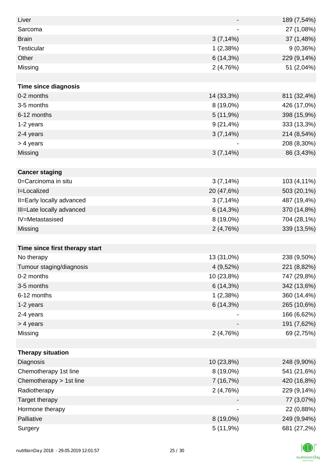| Liver                          |                          | 189 (7,54%) |
|--------------------------------|--------------------------|-------------|
| Sarcoma                        | $\overline{\phantom{a}}$ | 27 (1,08%)  |
| <b>Brain</b>                   | 3(7,14%)                 | 37 (1,48%)  |
| <b>Testicular</b>              | 1(2,38%)                 | 9(0,36%)    |
| Other                          | 6(14,3%)                 | 229 (9,14%) |
| Missing                        | 2(4,76%)                 | 51 (2,04%)  |
|                                |                          |             |
| <b>Time since diagnosis</b>    |                          |             |
| 0-2 months                     | 14 (33,3%)               | 811 (32,4%) |
| 3-5 months                     | 8 (19,0%)                | 426 (17,0%) |
| 6-12 months                    | 5(11,9%)                 | 398 (15,9%) |
| 1-2 years                      | $9(21, 4\%)$             | 333 (13,3%) |
| 2-4 years                      | 3(7,14%)                 | 214 (8,54%) |
| > 4 years                      |                          | 208 (8,30%) |
| Missing                        | 3(7,14%)                 | 86 (3,43%)  |
|                                |                          |             |
| <b>Cancer staging</b>          |                          |             |
| 0=Carcinoma in situ            | 3(7,14%)                 | 103 (4,11%) |
| I=Localized                    | 20 (47,6%)               | 503 (20,1%) |
| II=Early locally advanced      | $3(7,14\%)$              | 487 (19,4%) |
| III=Late locally advanced      | 6(14,3%)                 | 370 (14,8%) |
| IV=Metastasised                | 8 (19,0%)                | 704 (28,1%) |
| Missing                        | 2(4,76%)                 | 339 (13,5%) |
|                                |                          |             |
| Time since first therapy start |                          |             |
| No therapy                     | 13 (31,0%)               | 238 (9,50%) |
| Tumour staging/diagnosis       | 4 (9,52%)                | 221 (8,82%) |
| 0-2 months                     | 10 (23,8%)               | 747 (29,8%) |
| 3-5 months                     | 6(14,3%)                 | 342 (13,6%) |
| 6-12 months                    | 1(2,38%)                 | 360 (14,4%) |
| 1-2 years                      | 6(14,3%)                 | 265 (10,6%) |
| 2-4 years                      |                          | 166 (6,62%) |
| > 4 years                      |                          | 191 (7,62%) |
| Missing                        | 2(4,76%)                 | 69 (2,75%)  |
|                                |                          |             |
| <b>Therapy situation</b>       |                          |             |
| Diagnosis                      | 10 (23,8%)               | 248 (9,90%) |
| Chemotherapy 1st line          | 8 (19,0%)                | 541 (21,6%) |
| Chemotherapy > 1st line        | 7 (16,7%)                | 420 (16,8%) |
| Radiotherapy                   | 2(4,76%)                 | 229 (9,14%) |
| Target therapy                 |                          | 77 (3,07%)  |
| Hormone therapy                |                          | 22 (0,88%)  |
| Palliative                     | 8 (19,0%)                | 249 (9,94%) |
| Surgery                        | 5 (11,9%)                | 681 (27,2%) |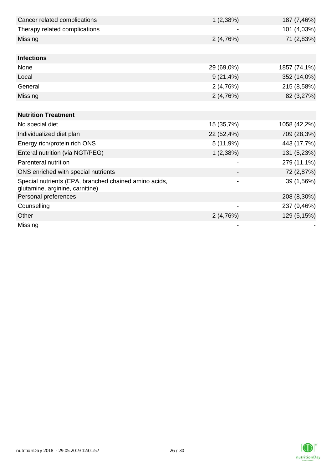| Cancer related complications                                                             | 1(2,38%)     | 187 (7,46%)  |
|------------------------------------------------------------------------------------------|--------------|--------------|
| Therapy related complications                                                            |              | 101 (4,03%)  |
| Missing                                                                                  | 2(4,76%)     | 71 (2,83%)   |
|                                                                                          |              |              |
| <b>Infections</b>                                                                        |              |              |
| None                                                                                     | 29 (69,0%)   | 1857 (74,1%) |
| Local                                                                                    | $9(21, 4\%)$ | 352 (14,0%)  |
| General                                                                                  | 2(4,76%)     | 215 (8,58%)  |
| Missing                                                                                  | 2(4,76%)     | 82 (3,27%)   |
|                                                                                          |              |              |
| <b>Nutrition Treatment</b>                                                               |              |              |
| No special diet                                                                          | 15 (35,7%)   | 1058 (42,2%) |
| Individualized diet plan                                                                 | 22 (52,4%)   | 709 (28,3%)  |
| Energy rich/protein rich ONS                                                             | 5(11,9%)     | 443 (17,7%)  |
| Enteral nutrition (via NGT/PEG)                                                          | 1(2,38%)     | 131 (5,23%)  |
| Parenteral nutrition                                                                     |              | 279 (11,1%)  |
| ONS enriched with special nutrients                                                      |              | 72 (2,87%)   |
| Special nutrients (EPA, branched chained amino acids,<br>glutamine, arginine, carnitine) | -            | 39 (1,56%)   |
| Personal preferences                                                                     |              | 208 (8,30%)  |
| Counselling                                                                              |              | 237 (9,46%)  |
| Other                                                                                    | 2(4,76%)     | 129 (5,15%)  |
| Missing                                                                                  |              |              |

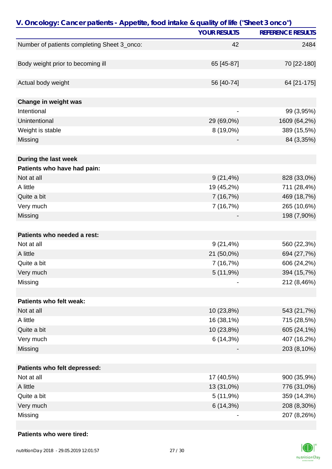| V. Oncology: Cancer patients - Appetite, food intake & quality of life ("Sheet 3 onco") |                     |                          |
|-----------------------------------------------------------------------------------------|---------------------|--------------------------|
|                                                                                         | <b>YOUR RESULTS</b> | <b>REFERENCE RESULTS</b> |
| Number of patients completing Sheet 3_onco:                                             | 42                  | 2484                     |
|                                                                                         |                     |                          |
| Body weight prior to becoming ill                                                       | 65 [45-87]          | 70 [22-180]              |
| Actual body weight                                                                      | 56 [40-74]          | 64 [21-175]              |
|                                                                                         |                     |                          |
| Change in weight was                                                                    |                     |                          |
| Intentional                                                                             |                     | 99 (3,95%)               |
| Unintentional                                                                           | 29 (69,0%)          | 1609 (64,2%)             |
| Weight is stable                                                                        | 8 (19,0%)           | 389 (15,5%)              |
| Missing                                                                                 |                     | 84 (3,35%)               |
| During the last week                                                                    |                     |                          |
| Patients who have had pain:                                                             |                     |                          |
| Not at all                                                                              | $9(21, 4\%)$        | 828 (33,0%)              |
| A little                                                                                | 19 (45,2%)          | 711 (28,4%)              |
| Quite a bit                                                                             | 7(16,7%)            | 469 (18,7%)              |
| Very much                                                                               | 7 (16,7%)           | 265 (10,6%)              |
| Missing                                                                                 |                     | 198 (7,90%)              |
| Patients who needed a rest:                                                             |                     |                          |
| Not at all                                                                              | $9(21, 4\%)$        | 560 (22,3%)              |
| A little                                                                                | 21 (50,0%)          | 694 (27,7%)              |
| Quite a bit                                                                             | 7(16,7%)            | 606 (24,2%)              |
| Very much                                                                               | 5(11,9%)            | 394 (15,7%)              |
| Missing                                                                                 |                     | 212 (8,46%)              |
|                                                                                         |                     |                          |
| Patients who felt weak:                                                                 |                     |                          |
| Not at all                                                                              | 10 (23,8%)          | 543 (21,7%)              |
| A little                                                                                | 16 (38,1%)          | 715 (28,5%)              |
| Quite a bit                                                                             | 10 (23,8%)          | 605 (24,1%)              |
| Very much                                                                               | 6 (14,3%)           | 407 (16,2%)              |
| Missing                                                                                 |                     | 203 (8,10%)              |
| Patients who felt depressed:                                                            |                     |                          |
| Not at all                                                                              | 17 (40,5%)          | 900 (35,9%)              |
| A little                                                                                | 13 (31,0%)          | 776 (31,0%)              |
| Quite a bit                                                                             | 5(11,9%)            | 359 (14,3%)              |
| Very much                                                                               | 6(14,3%)            | 208 (8,30%)              |
| Missing                                                                                 |                     | 207 (8,26%)              |
|                                                                                         |                     |                          |

### **Patients who were tired:**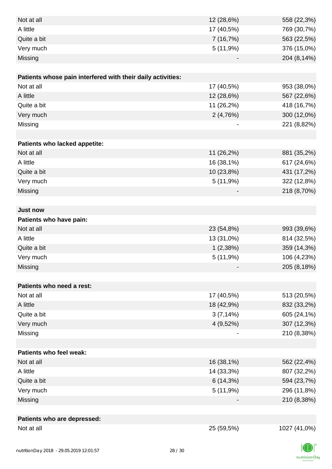| Not at all                                                  | 12 (28,6%)     | 558 (22,3%)  |
|-------------------------------------------------------------|----------------|--------------|
| A little                                                    | 17 (40,5%)     | 769 (30,7%)  |
| Quite a bit                                                 | 7(16,7%)       | 563 (22,5%)  |
| Very much                                                   | 5(11,9%)       | 376 (15,0%)  |
| Missing                                                     |                | 204 (8,14%)  |
|                                                             |                |              |
| Patients whose pain interfered with their daily activities: |                |              |
| Not at all                                                  | 17 (40,5%)     | 953 (38,0%)  |
| A little                                                    | 12 (28,6%)     | 567 (22,6%)  |
| Quite a bit                                                 | 11 (26,2%)     | 418 (16,7%)  |
| Very much                                                   | 2(4,76%)       | 300 (12,0%)  |
| Missing                                                     | $\overline{a}$ | 221 (8,82%)  |
|                                                             |                |              |
| Patients who lacked appetite:                               |                |              |
| Not at all                                                  | 11 (26,2%)     | 881 (35,2%)  |
| A little                                                    | 16 (38,1%)     | 617 (24,6%)  |
| Quite a bit                                                 | 10 (23,8%)     | 431 (17,2%)  |
| Very much                                                   | 5(11,9%)       | 322 (12,8%)  |
| Missing                                                     |                | 218 (8,70%)  |
|                                                             |                |              |
| <b>Just now</b>                                             |                |              |
| Patients who have pain:                                     |                |              |
| Not at all                                                  | 23 (54,8%)     | 993 (39,6%)  |
| A little                                                    | 13 (31,0%)     | 814 (32,5%)  |
| Quite a bit                                                 | 1(2,38%)       | 359 (14,3%)  |
| Very much                                                   | 5(11,9%)       | 106 (4,23%)  |
| Missing                                                     |                | 205 (8,18%)  |
|                                                             |                |              |
| Patients who need a rest:                                   |                |              |
| Not at all                                                  | 17 (40,5%)     | 513 (20,5%)  |
| A little                                                    | 18 (42,9%)     | 832 (33,2%)  |
| Quite a bit                                                 | $3(7,14\%)$    | 605 (24,1%)  |
| Very much                                                   | 4 (9,52%)      | 307 (12,3%)  |
| Missing                                                     |                | 210 (8,38%)  |
|                                                             |                |              |
| Patients who feel weak:                                     |                |              |
| Not at all                                                  | 16 (38,1%)     | 562 (22,4%)  |
| A little                                                    | 14 (33,3%)     | 807 (32,2%)  |
| Quite a bit                                                 | 6(14,3%)       | 594 (23,7%)  |
| Very much                                                   | 5(11,9%)       | 296 (11,8%)  |
| Missing                                                     |                | 210 (8,38%)  |
|                                                             |                |              |
| Patients who are depressed:                                 |                |              |
| Not at all                                                  | 25 (59,5%)     | 1027 (41,0%) |

K nutritionDay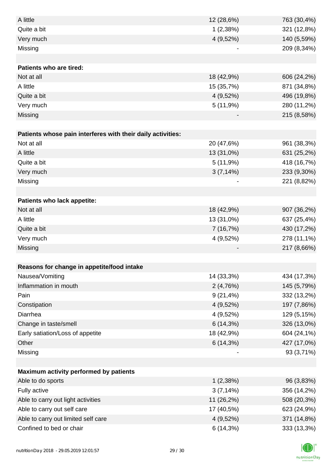| A little                                                    | 12 (28,6%)   | 763 (30,4%) |
|-------------------------------------------------------------|--------------|-------------|
| Quite a bit                                                 | 1(2,38%)     | 321 (12,8%) |
| Very much                                                   | 4 (9,52%)    | 140 (5,59%) |
| Missing                                                     |              | 209 (8,34%) |
|                                                             |              |             |
| Patients who are tired:                                     |              |             |
| Not at all                                                  | 18 (42,9%)   | 606 (24,2%) |
| A little                                                    | 15 (35,7%)   | 871 (34,8%) |
| Quite a bit                                                 | 4 (9,52%)    | 496 (19,8%) |
| Very much                                                   | 5(11,9%)     | 280 (11,2%) |
| Missing                                                     |              | 215 (8,58%) |
|                                                             |              |             |
| Patients whose pain interferes with their daily activities: |              |             |
| Not at all                                                  | 20 (47,6%)   | 961 (38,3%) |
| A little                                                    | 13 (31,0%)   | 631 (25,2%) |
| Quite a bit                                                 | 5(11,9%)     | 418 (16,7%) |
| Very much                                                   | $3(7,14\%)$  | 233 (9,30%) |
| Missing                                                     |              | 221 (8,82%) |
|                                                             |              |             |
| Patients who lack appetite:                                 |              |             |
| Not at all                                                  | 18 (42,9%)   | 907 (36,2%) |
| A little                                                    | 13 (31,0%)   | 637 (25,4%) |
| Quite a bit                                                 | 7(16,7%)     | 430 (17,2%) |
| Very much                                                   | 4 (9,52%)    | 278 (11,1%) |
| Missing                                                     |              | 217 (8,66%) |
|                                                             |              |             |
| Reasons for change in appetite/food intake                  |              |             |
| Nausea/Vomiting                                             | 14 (33,3%)   | 434 (17,3%) |
| Inflammation in mouth                                       | 2(4,76%)     | 145 (5,79%) |
| Pain                                                        | $9(21, 4\%)$ | 332 (13,2%) |
| Constipation                                                | 4 (9,52%)    | 197 (7,86%) |
| Diarrhea                                                    | 4 (9,52%)    | 129 (5,15%) |
| Change in taste/smell                                       | $6(14,3\%)$  | 326 (13,0%) |
| Early satiation/Loss of appetite                            | 18 (42,9%)   | 604 (24,1%) |
| Other                                                       | 6(14,3%)     | 427 (17,0%) |
| Missing                                                     |              | 93 (3,71%)  |
|                                                             |              |             |
| Maximum activity performed by patients                      |              |             |
| Able to do sports                                           | 1(2,38%)     | 96 (3,83%)  |
| Fully active                                                | 3(7,14%)     | 356 (14,2%) |
| Able to carry out light activities                          | 11 (26,2%)   | 508 (20,3%) |
| Able to carry out self care                                 | 17 (40,5%)   | 623 (24,9%) |
| Able to carry out limited self care                         | 4 (9,52%)    | 371 (14,8%) |
| Confined to bed or chair                                    | 6(14,3%)     | 333 (13,3%) |